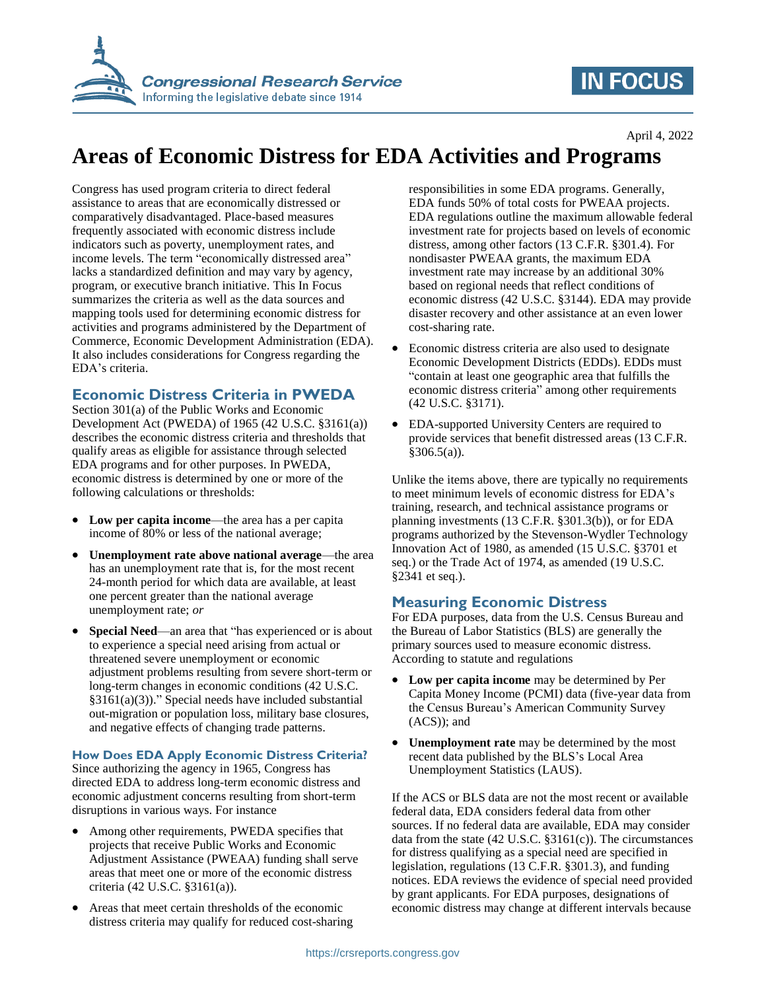

## **IN FOCUS**

# **Areas of Economic Distress for EDA Activities and Programs**

Congress has used program criteria to direct federal assistance to areas that are economically distressed or comparatively disadvantaged. Place-based measures frequently associated with economic distress include indicators such as poverty, unemployment rates, and income levels. The term "economically distressed area" lacks a standardized definition and may vary by agency, program, or executive branch initiative. This In Focus summarizes the criteria as well as the data sources and mapping tools used for determining economic distress for activities and programs administered by the Department of Commerce, Economic Development Administration (EDA). It also includes considerations for Congress regarding the EDA's criteria.

### **Economic Distress Criteria in PWEDA**

Section 301(a) of the Public Works and Economic Development Act (PWEDA) of 1965 (42 U.S.C. §3161(a)) describes the economic distress criteria and thresholds that qualify areas as eligible for assistance through selected EDA programs and for other purposes. In PWEDA, economic distress is determined by one or more of the following calculations or thresholds:

- **Low per capita income**—the area has a per capita income of 80% or less of the national average;
- **Unemployment rate above national average**—the area has an unemployment rate that is, for the most recent 24-month period for which data are available, at least one percent greater than the national average unemployment rate; *or*
- **Special Need**—an area that "has experienced or is about to experience a special need arising from actual or threatened severe unemployment or economic adjustment problems resulting from severe short-term or long-term changes in economic conditions (42 U.S.C. §3161(a)(3))." Special needs have included substantial out-migration or population loss, military base closures, and negative effects of changing trade patterns.

#### **How Does EDA Apply Economic Distress Criteria?**

Since authorizing the agency in 1965, Congress has directed EDA to address long-term economic distress and economic adjustment concerns resulting from short-term disruptions in various ways. For instance

- Among other requirements, PWEDA specifies that projects that receive Public Works and Economic Adjustment Assistance (PWEAA) funding shall serve areas that meet one or more of the economic distress criteria (42 U.S.C. §3161(a)).
- Areas that meet certain thresholds of the economic distress criteria may qualify for reduced cost-sharing

responsibilities in some EDA programs. Generally, EDA funds 50% of total costs for PWEAA projects. EDA regulations outline the maximum allowable federal investment rate for projects based on levels of economic distress, among other factors (13 C.F.R. §301.4). For nondisaster PWEAA grants, the maximum EDA investment rate may increase by an additional 30% based on regional needs that reflect conditions of economic distress (42 U.S.C. §3144). EDA may provide disaster recovery and other assistance at an even lower cost-sharing rate.

- Economic distress criteria are also used to designate Economic Development Districts (EDDs). EDDs must "contain at least one geographic area that fulfills the economic distress criteria" among other requirements (42 U.S.C. §3171).
- EDA-supported University Centers are required to provide services that benefit distressed areas (13 C.F.R.  $§306.5(a)$ .

Unlike the items above, there are typically no requirements to meet minimum levels of economic distress for EDA's training, research, and technical assistance programs or planning investments (13 C.F.R. §301.3(b)), or for EDA programs authorized by the Stevenson-Wydler Technology Innovation Act of 1980, as amended (15 U.S.C. §3701 et seq.) or the Trade Act of 1974, as amended (19 U.S.C. §2341 et seq.).

### **Measuring Economic Distress**

For EDA purposes, data from the U.S. Census Bureau and the Bureau of Labor Statistics (BLS) are generally the primary sources used to measure economic distress. According to statute and regulations

- **Low per capita income** may be determined by Per Capita Money Income (PCMI) data (five-year data from the Census Bureau's American Community Survey (ACS)); and
- **Unemployment rate** may be determined by the most recent data published by the BLS's Local Area Unemployment Statistics (LAUS).

If the ACS or BLS data are not the most recent or available federal data, EDA considers federal data from other sources. If no federal data are available, EDA may consider data from the state (42 U.S.C. §3161(c)). The circumstances for distress qualifying as a special need are specified in legislation, regulations (13 C.F.R. §301.3), and funding notices. EDA reviews the evidence of special need provided by grant applicants. For EDA purposes, designations of economic distress may change at different intervals because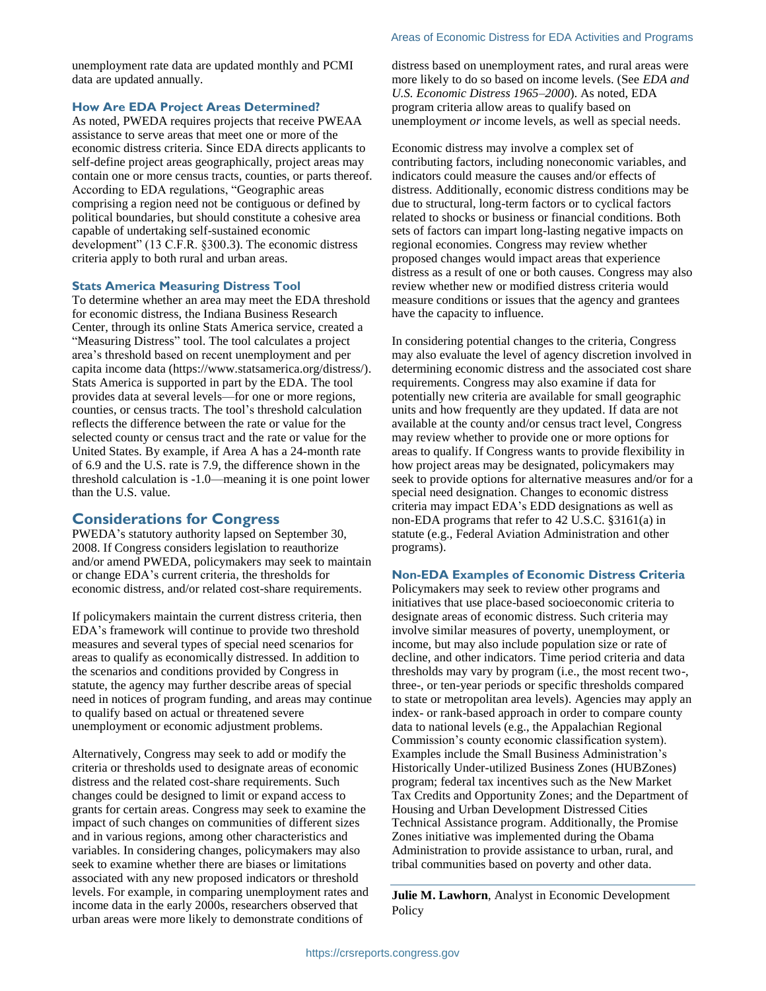unemployment rate data are updated monthly and PCMI data are updated annually.

#### **How Are EDA Project Areas Determined?**

As noted, PWEDA requires projects that receive PWEAA assistance to serve areas that meet one or more of the economic distress criteria. Since EDA directs applicants to self-define project areas geographically, project areas may contain one or more census tracts, counties, or parts thereof. According to EDA regulations, "Geographic areas comprising a region need not be contiguous or defined by political boundaries, but should constitute a cohesive area capable of undertaking self-sustained economic development" (13 C.F.R. §300.3). The economic distress criteria apply to both rural and urban areas.

#### **Stats America Measuring Distress Tool**

To determine whether an area may meet the EDA threshold for economic distress, the Indiana Business Research Center, through its online Stats America service, created a "Measuring Distress" tool. The tool calculates a project area's threshold based on recent unemployment and per capita income data (https://www.statsamerica.org/distress/). Stats America is supported in part by the EDA. The tool provides data at several levels—for one or more regions, counties, or census tracts. The tool's threshold calculation reflects the difference between the rate or value for the selected county or census tract and the rate or value for the United States. By example, if Area A has a 24-month rate of 6.9 and the U.S. rate is 7.9, the difference shown in the threshold calculation is -1.0—meaning it is one point lower than the U.S. value.

#### **Considerations for Congress**

PWEDA's statutory authority lapsed on September 30, 2008. If Congress considers legislation to reauthorize and/or amend PWEDA, policymakers may seek to maintain or change EDA's current criteria, the thresholds for economic distress, and/or related cost-share requirements.

If policymakers maintain the current distress criteria, then EDA's framework will continue to provide two threshold measures and several types of special need scenarios for areas to qualify as economically distressed. In addition to the scenarios and conditions provided by Congress in statute, the agency may further describe areas of special need in notices of program funding, and areas may continue to qualify based on actual or threatened severe unemployment or economic adjustment problems.

Alternatively, Congress may seek to add or modify the criteria or thresholds used to designate areas of economic distress and the related cost-share requirements. Such changes could be designed to limit or expand access to grants for certain areas. Congress may seek to examine the impact of such changes on communities of different sizes and in various regions, among other characteristics and variables. In considering changes, policymakers may also seek to examine whether there are biases or limitations associated with any new proposed indicators or threshold levels. For example, in comparing unemployment rates and income data in the early 2000s, researchers observed that urban areas were more likely to demonstrate conditions of

distress based on unemployment rates, and rural areas were more likely to do so based on income levels. (See *EDA and U.S. Economic Distress 1965–2000*). As noted, EDA program criteria allow areas to qualify based on unemployment *or* income levels, as well as special needs.

Economic distress may involve a complex set of contributing factors, including noneconomic variables, and indicators could measure the causes and/or effects of distress. Additionally, economic distress conditions may be due to structural, long-term factors or to cyclical factors related to shocks or business or financial conditions. Both sets of factors can impart long-lasting negative impacts on regional economies. Congress may review whether proposed changes would impact areas that experience distress as a result of one or both causes. Congress may also review whether new or modified distress criteria would measure conditions or issues that the agency and grantees have the capacity to influence.

In considering potential changes to the criteria, Congress may also evaluate the level of agency discretion involved in determining economic distress and the associated cost share requirements. Congress may also examine if data for potentially new criteria are available for small geographic units and how frequently are they updated. If data are not available at the county and/or census tract level, Congress may review whether to provide one or more options for areas to qualify. If Congress wants to provide flexibility in how project areas may be designated, policymakers may seek to provide options for alternative measures and/or for a special need designation. Changes to economic distress criteria may impact EDA's EDD designations as well as non-EDA programs that refer to 42 U.S.C. §3161(a) in statute (e.g., Federal Aviation Administration and other programs).

#### **Non-EDA Examples of Economic Distress Criteria**

Policymakers may seek to review other programs and initiatives that use place-based socioeconomic criteria to designate areas of economic distress. Such criteria may involve similar measures of poverty, unemployment, or income, but may also include population size or rate of decline, and other indicators. Time period criteria and data thresholds may vary by program (i.e., the most recent two-, three-, or ten-year periods or specific thresholds compared to state or metropolitan area levels). Agencies may apply an index- or rank-based approach in order to compare county data to national levels (e.g., the Appalachian Regional Commission's county economic classification system). Examples include the Small Business Administration's Historically Under-utilized Business Zones (HUBZones) program; federal tax incentives such as the New Market Tax Credits and Opportunity Zones; and the Department of Housing and Urban Development Distressed Cities Technical Assistance program. Additionally, the Promise Zones initiative was implemented during the Obama Administration to provide assistance to urban, rural, and tribal communities based on poverty and other data.

**Julie M. Lawhorn**, Analyst in Economic Development **Policy**